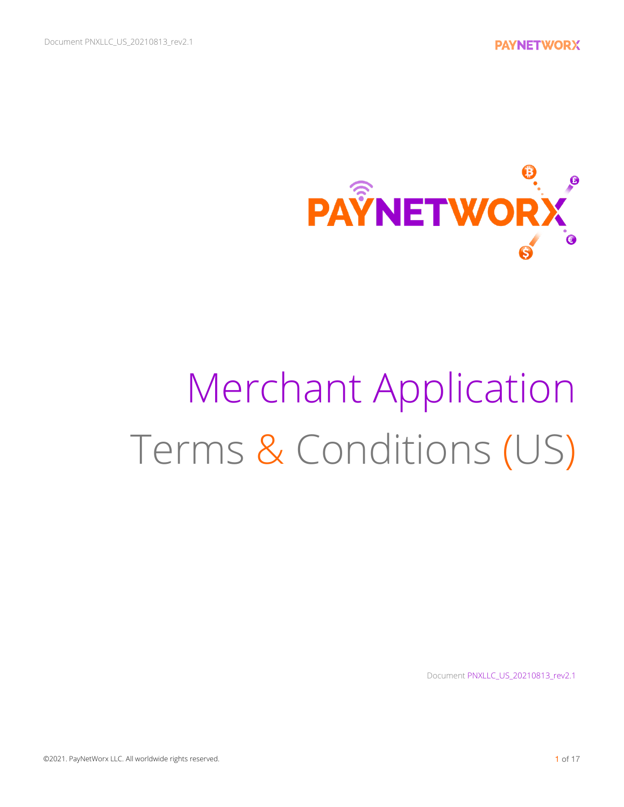

# Merchant Application Terms & Conditions (US)

Document PNXLLC\_US\_20210813\_rev2.1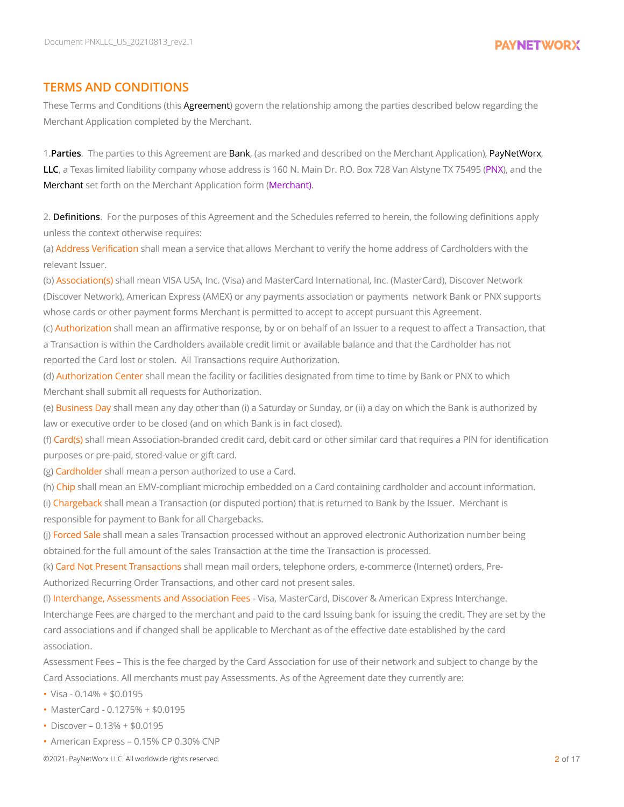#### **TERMS AND CONDITIONS**

These Terms and Conditions (this Agreement) govern the relationship among the parties described below regarding the Merchant Application completed by the Merchant.

1.**Parties**. The parties to this Agreement are Bank, (as marked and described on the Merchant Application), PayNetWorx, **LLC**, a Texas limited liability company whose address is 160 N. Main Dr. P.O. Box 728 Van Alstyne TX 75495 (PNX), and the Merchant set forth on the Merchant Application form (Merchant).

2. **Definitions**. For the purposes of this Agreement and the Schedules referred to herein, the following definitions apply unless the context otherwise requires:

(a) Address Verification shall mean a service that allows Merchant to verify the home address of Cardholders with the relevant Issuer.

(b) Association(s) shall mean VISA USA, Inc. (Visa) and MasterCard International, Inc. (MasterCard), Discover Network (Discover Network), American Express (AMEX) or any payments association or payments network Bank or PNX supports whose cards or other payment forms Merchant is permitted to accept to accept pursuant this Agreement.

(c) Authorization shall mean an affirmative response, by or on behalf of an Issuer to a request to affect a Transaction, that a Transaction is within the Cardholders available credit limit or available balance and that the Cardholder has not reported the Card lost or stolen. All Transactions require Authorization.

(d) Authorization Center shall mean the facility or facilities designated from time to time by Bank or PNX to which Merchant shall submit all requests for Authorization.

(e) Business Day shall mean any day other than (i) a Saturday or Sunday, or (ii) a day on which the Bank is authorized by law or executive order to be closed (and on which Bank is in fact closed).

(f) Card(s) shall mean Association-branded credit card, debit card or other similar card that requires a PIN for identification purposes or pre-paid, stored-value or gift card.

(g) Cardholder shall mean a person authorized to use a Card.

(h) Chip shall mean an EMV-compliant microchip embedded on a Card containing cardholder and account information.

(i) Chargeback shall mean a Transaction (or disputed portion) that is returned to Bank by the Issuer. Merchant is responsible for payment to Bank for all Chargebacks.

(i) Forced Sale shall mean a sales Transaction processed without an approved electronic Authorization number being obtained for the full amount of the sales Transaction at the time the Transaction is processed.

(k) Card Not Present Transactions shall mean mail orders, telephone orders, e-commerce (Internet) orders, Pre-Authorized Recurring Order Transactions, and other card not present sales.

(l) Interchange, Assessments and Association Fees - Visa, MasterCard, Discover & American Express Interchange. Interchange Fees are charged to the merchant and paid to the card Issuing bank for issuing the credit. They are set by the card associations and if changed shall be applicable to Merchant as of the effective date established by the card association.

Assessment Fees – This is the fee charged by the Card Association for use of their network and subject to change by the Card Associations. All merchants must pay Assessments. As of the Agreement date they currently are:

- $\cdot$  Visa 0.14% + \$0.0195
- MasterCard 0.1275% + \$0.0195
- Discover 0.13% + \$0.0195
- American Express 0.15% CP 0.30% CNP

©2021. PayNetWorx LLC. All worldwide rights reserved. 2 of 17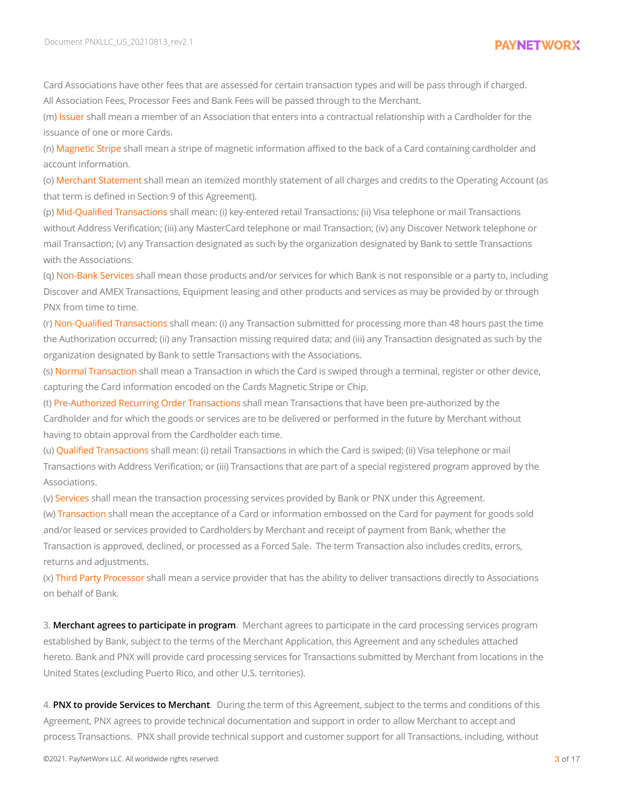Card Associations have other fees that are assessed for certain transaction types and will be pass through if charged. All Association Fees, Processor Fees and Bank Fees will be passed through to the Merchant.

(m) Issuer shall mean a member of an Association that enters into a contractual relationship with a Cardholder for the issuance of one or more Cards.

(n) Magnetic Stripe shall mean a stripe of magnetic information affixed to the back of a Card containing cardholder and account information.

(o) Merchant Statement shall mean an itemized monthly statement of all charges and credits to the Operating Account (as that term is defined in Section 9 of this Agreement).

(p) Mid-Qualified Transactions shall mean: (i) key-entered retail Transactions; (ii) Visa telephone or mail Transactions without Address Verification; (iii) any MasterCard telephone or mail Transaction; (iv) any Discover Network telephone or mail Transaction; (v) any Transaction designated as such by the organization designated by Bank to settle Transactions with the Associations.

(q) Non-Bank Services shall mean those products and/or services for which Bank is not responsible or a party to, including Discover and AMEX Transactions, Equipment leasing and other products and services as may be provided by or through PNX from time to time.

(r) Non-Qualified Transactions shall mean: (i) any Transaction submitted for processing more than 48 hours past the time the Authorization occurred; (ii) any Transaction missing required data; and (iii) any Transaction designated as such by the organization designated by Bank to settle Transactions with the Associations.

(s) Normal Transaction shall mean a Transaction in which the Card is swiped through a terminal, register or other device, capturing the Card information encoded on the Cards Magnetic Stripe or Chip.

(t) Pre-Authorized Recurring Order Transactions shall mean Transactions that have been pre-authorized by the Cardholder and for which the goods or services are to be delivered or performed in the future by Merchant without having to obtain approval from the Cardholder each time.

(u) Qualified Transactions shall mean: (i) retail Transactions in which the Card is swiped; (ii) Visa telephone or mail Transactions with Address Verification; or (iii) Transactions that are part of a special registered program approved by the Associations.

(v) Services shall mean the transaction processing services provided by Bank or PNX under this Agreement.

(w) Transaction shall mean the acceptance of a Card or information embossed on the Card for payment for goods sold and/or leased or services provided to Cardholders by Merchant and receipt of payment from Bank, whether the Transaction is approved, declined, or processed as a Forced Sale. The term Transaction also includes credits, errors, returns and adjustments.

(x) Third Party Processor shall mean a service provider that has the ability to deliver transactions directly to Associations on behalf of Bank.

3. **Merchant agrees to participate in program**. Merchant agrees to participate in the card processing services program established by Bank, subject to the terms of the Merchant Application, this Agreement and any schedules attached hereto. Bank and PNX will provide card processing services for Transactions submitted by Merchant from locations in the United States (excluding Puerto Rico, and other U.S. territories).

4. **PNX to provide Services to Merchant**. During the term of this Agreement, subject to the terms and conditions of this Agreement, PNX agrees to provide technical documentation and support in order to allow Merchant to accept and process Transactions. PNX shall provide technical support and customer support for all Transactions, including, without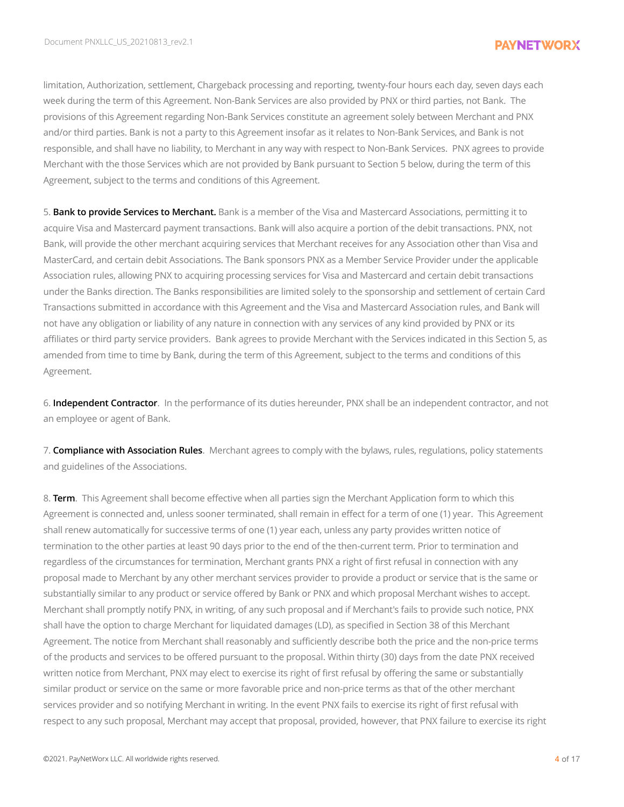limitation, Authorization, settlement, Chargeback processing and reporting, twenty-four hours each day, seven days each week during the term of this Agreement. Non-Bank Services are also provided by PNX or third parties, not Bank. The provisions of this Agreement regarding Non-Bank Services constitute an agreement solely between Merchant and PNX and/or third parties. Bank is not a party to this Agreement insofar as it relates to Non-Bank Services, and Bank is not responsible, and shall have no liability, to Merchant in any way with respect to Non-Bank Services. PNX agrees to provide Merchant with the those Services which are not provided by Bank pursuant to Section 5 below, during the term of this Agreement, subject to the terms and conditions of this Agreement.

5. **Bank to provide Services to Merchant.** Bank is a member of the Visa and Mastercard Associations, permitting it to acquire Visa and Mastercard payment transactions. Bank will also acquire a portion of the debit transactions. PNX, not Bank, will provide the other merchant acquiring services that Merchant receives for any Association other than Visa and MasterCard, and certain debit Associations. The Bank sponsors PNX as a Member Service Provider under the applicable Association rules, allowing PNX to acquiring processing services for Visa and Mastercard and certain debit transactions under the Banks direction. The Banks responsibilities are limited solely to the sponsorship and settlement of certain Card Transactions submitted in accordance with this Agreement and the Visa and Mastercard Association rules, and Bank will not have any obligation or liability of any nature in connection with any services of any kind provided by PNX or its affiliates or third party service providers. Bank agrees to provide Merchant with the Services indicated in this Section 5, as amended from time to time by Bank, during the term of this Agreement, subject to the terms and conditions of this Agreement.

6. **Independent Contractor**. In the performance of its duties hereunder, PNX shall be an independent contractor, and not an employee or agent of Bank.

7. **Compliance with Association Rules**. Merchant agrees to comply with the bylaws, rules, regulations, policy statements and guidelines of the Associations.

8. **Term**. This Agreement shall become effective when all parties sign the Merchant Application form to which this Agreement is connected and, unless sooner terminated, shall remain in effect for a term of one (1) year. This Agreement shall renew automatically for successive terms of one (1) year each, unless any party provides written notice of termination to the other parties at least 90 days prior to the end of the then-current term. Prior to termination and regardless of the circumstances for termination, Merchant grants PNX a right of first refusal in connection with any proposal made to Merchant by any other merchant services provider to provide a product or service that is the same or substantially similar to any product or service offered by Bank or PNX and which proposal Merchant wishes to accept. Merchant shall promptly notify PNX, in writing, of any such proposal and if Merchant's fails to provide such notice, PNX shall have the option to charge Merchant for liquidated damages (LD), as specified in Section 38 of this Merchant Agreement. The notice from Merchant shall reasonably and sufficiently describe both the price and the non-price terms of the products and services to be offered pursuant to the proposal. Within thirty (30) days from the date PNX received written notice from Merchant, PNX may elect to exercise its right of first refusal by offering the same or substantially similar product or service on the same or more favorable price and non-price terms as that of the other merchant services provider and so notifying Merchant in writing. In the event PNX fails to exercise its right of first refusal with respect to any such proposal, Merchant may accept that proposal, provided, however, that PNX failure to exercise its right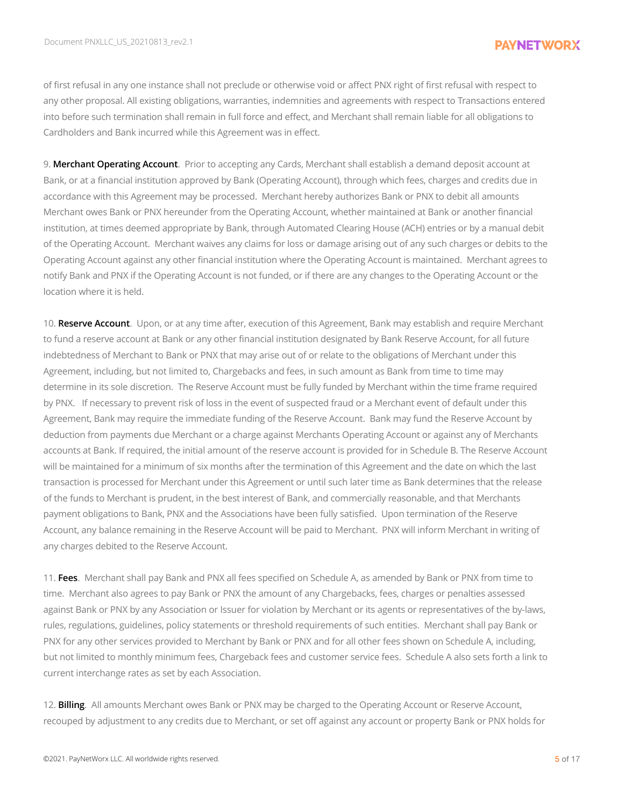of first refusal in any one instance shall not preclude or otherwise void or affect PNX right of first refusal with respect to any other proposal. All existing obligations, warranties, indemnities and agreements with respect to Transactions entered into before such termination shall remain in full force and effect, and Merchant shall remain liable for all obligations to Cardholders and Bank incurred while this Agreement was in effect.

9. **Merchant Operating Account**. Prior to accepting any Cards, Merchant shall establish a demand deposit account at Bank, or at a financial institution approved by Bank (Operating Account), through which fees, charges and credits due in accordance with this Agreement may be processed. Merchant hereby authorizes Bank or PNX to debit all amounts Merchant owes Bank or PNX hereunder from the Operating Account, whether maintained at Bank or another financial institution, at times deemed appropriate by Bank, through Automated Clearing House (ACH) entries or by a manual debit of the Operating Account. Merchant waives any claims for loss or damage arising out of any such charges or debits to the Operating Account against any other financial institution where the Operating Account is maintained. Merchant agrees to notify Bank and PNX if the Operating Account is not funded, or if there are any changes to the Operating Account or the location where it is held.

10. **Reserve Account**. Upon, or at any time after, execution of this Agreement, Bank may establish and require Merchant to fund a reserve account at Bank or any other financial institution designated by Bank Reserve Account, for all future indebtedness of Merchant to Bank or PNX that may arise out of or relate to the obligations of Merchant under this Agreement, including, but not limited to, Chargebacks and fees, in such amount as Bank from time to time may determine in its sole discretion. The Reserve Account must be fully funded by Merchant within the time frame required by PNX. If necessary to prevent risk of loss in the event of suspected fraud or a Merchant event of default under this Agreement, Bank may require the immediate funding of the Reserve Account. Bank may fund the Reserve Account by deduction from payments due Merchant or a charge against Merchants Operating Account or against any of Merchants accounts at Bank. If required, the initial amount of the reserve account is provided for in Schedule B. The Reserve Account will be maintained for a minimum of six months after the termination of this Agreement and the date on which the last transaction is processed for Merchant under this Agreement or until such later time as Bank determines that the release of the funds to Merchant is prudent, in the best interest of Bank, and commercially reasonable, and that Merchants payment obligations to Bank, PNX and the Associations have been fully satisfied. Upon termination of the Reserve Account, any balance remaining in the Reserve Account will be paid to Merchant. PNX will inform Merchant in writing of any charges debited to the Reserve Account.

11. **Fees**. Merchant shall pay Bank and PNX all fees specified on Schedule A, as amended by Bank or PNX from time to time. Merchant also agrees to pay Bank or PNX the amount of any Chargebacks, fees, charges or penalties assessed against Bank or PNX by any Association or Issuer for violation by Merchant or its agents or representatives of the by-laws, rules, regulations, guidelines, policy statements or threshold requirements of such entities. Merchant shall pay Bank or PNX for any other services provided to Merchant by Bank or PNX and for all other fees shown on Schedule A, including, but not limited to monthly minimum fees, Chargeback fees and customer service fees. Schedule A also sets forth a link to current interchange rates as set by each Association.

12. **Billing**. All amounts Merchant owes Bank or PNX may be charged to the Operating Account or Reserve Account, recouped by adjustment to any credits due to Merchant, or set off against any account or property Bank or PNX holds for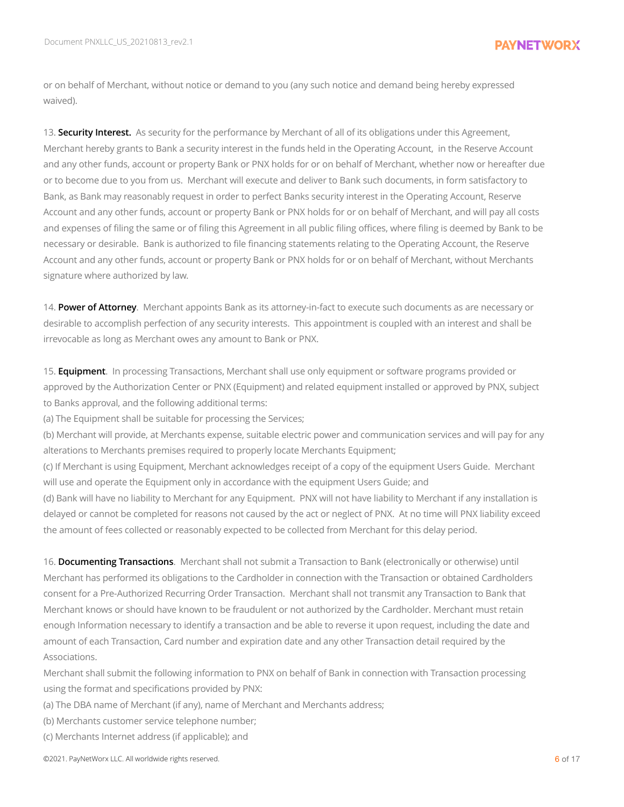or on behalf of Merchant, without notice or demand to you (any such notice and demand being hereby expressed waived).

13. **Security Interest.** As security for the performance by Merchant of all of its obligations under this Agreement, Merchant hereby grants to Bank a security interest in the funds held in the Operating Account, in the Reserve Account and any other funds, account or property Bank or PNX holds for or on behalf of Merchant, whether now or hereafter due or to become due to you from us. Merchant will execute and deliver to Bank such documents, in form satisfactory to Bank, as Bank may reasonably request in order to perfect Banks security interest in the Operating Account, Reserve Account and any other funds, account or property Bank or PNX holds for or on behalf of Merchant, and will pay all costs and expenses of filing the same or of filing this Agreement in all public filing offices, where filing is deemed by Bank to be necessary or desirable. Bank is authorized to file financing statements relating to the Operating Account, the Reserve Account and any other funds, account or property Bank or PNX holds for or on behalf of Merchant, without Merchants signature where authorized by law.

14. **Power of Attorney**. Merchant appoints Bank as its attorney-in-fact to execute such documents as are necessary or desirable to accomplish perfection of any security interests. This appointment is coupled with an interest and shall be irrevocable as long as Merchant owes any amount to Bank or PNX.

15. **Equipment**. In processing Transactions, Merchant shall use only equipment or software programs provided or approved by the Authorization Center or PNX (Equipment) and related equipment installed or approved by PNX, subject to Banks approval, and the following additional terms:

(a) The Equipment shall be suitable for processing the Services;

(b) Merchant will provide, at Merchants expense, suitable electric power and communication services and will pay for any alterations to Merchants premises required to properly locate Merchants Equipment;

(c) If Merchant is using Equipment, Merchant acknowledges receipt of a copy of the equipment Users Guide. Merchant will use and operate the Equipment only in accordance with the equipment Users Guide; and

(d) Bank will have no liability to Merchant for any Equipment. PNX will not have liability to Merchant if any installation is delayed or cannot be completed for reasons not caused by the act or neglect of PNX. At no time will PNX liability exceed the amount of fees collected or reasonably expected to be collected from Merchant for this delay period.

16. **Documenting Transactions**. Merchant shall not submit a Transaction to Bank (electronically or otherwise) until Merchant has performed its obligations to the Cardholder in connection with the Transaction or obtained Cardholders consent for a Pre-Authorized Recurring Order Transaction. Merchant shall not transmit any Transaction to Bank that Merchant knows or should have known to be fraudulent or not authorized by the Cardholder. Merchant must retain enough Information necessary to identify a transaction and be able to reverse it upon request, including the date and amount of each Transaction, Card number and expiration date and any other Transaction detail required by the Associations.

Merchant shall submit the following information to PNX on behalf of Bank in connection with Transaction processing using the format and specifications provided by PNX:

(a) The DBA name of Merchant (if any), name of Merchant and Merchants address;

(b) Merchants customer service telephone number;

(c) Merchants Internet address (if applicable); and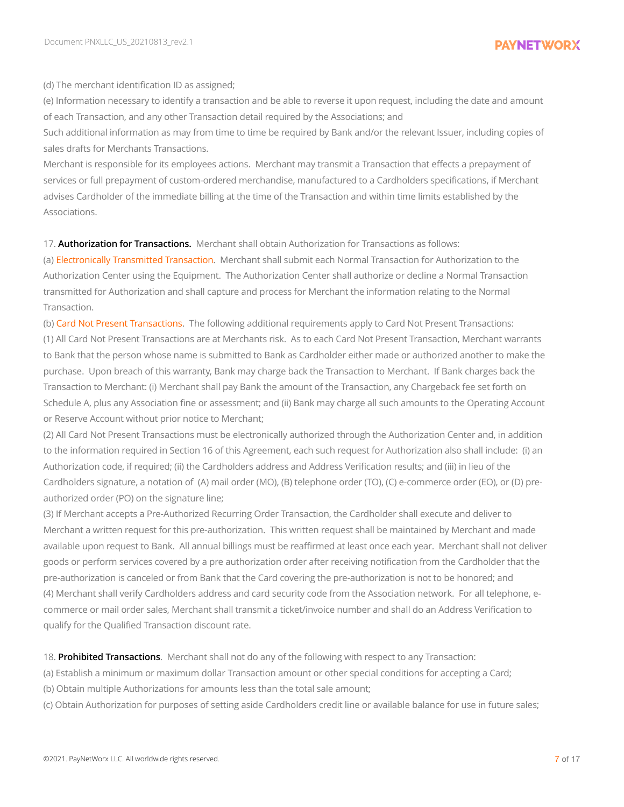(d) The merchant identification ID as assigned;

(e) Information necessary to identify a transaction and be able to reverse it upon request, including the date and amount of each Transaction, and any other Transaction detail required by the Associations; and

Such additional information as may from time to time be required by Bank and/or the relevant Issuer, including copies of sales drafts for Merchants Transactions.

Merchant is responsible for its employees actions. Merchant may transmit a Transaction that effects a prepayment of services or full prepayment of custom-ordered merchandise, manufactured to a Cardholders specifications, if Merchant advises Cardholder of the immediate billing at the time of the Transaction and within time limits established by the Associations.

17. **Authorization for Transactions.** Merchant shall obtain Authorization for Transactions as follows:

(a) Electronically Transmitted Transaction. Merchant shall submit each Normal Transaction for Authorization to the Authorization Center using the Equipment. The Authorization Center shall authorize or decline a Normal Transaction transmitted for Authorization and shall capture and process for Merchant the information relating to the Normal Transaction.

(b) Card Not Present Transactions. The following additional requirements apply to Card Not Present Transactions: (1) All Card Not Present Transactions are at Merchants risk. As to each Card Not Present Transaction, Merchant warrants to Bank that the person whose name is submitted to Bank as Cardholder either made or authorized another to make the purchase. Upon breach of this warranty, Bank may charge back the Transaction to Merchant. If Bank charges back the Transaction to Merchant: (i) Merchant shall pay Bank the amount of the Transaction, any Chargeback fee set forth on Schedule A, plus any Association fine or assessment; and (ii) Bank may charge all such amounts to the Operating Account or Reserve Account without prior notice to Merchant;

(2) All Card Not Present Transactions must be electronically authorized through the Authorization Center and, in addition to the information required in Section 16 of this Agreement, each such request for Authorization also shall include: (i) an Authorization code, if required; (ii) the Cardholders address and Address Verification results; and (iii) in lieu of the Cardholders signature, a notation of (A) mail order (MO), (B) telephone order (TO), (C) e-commerce order (EO), or (D) preauthorized order (PO) on the signature line;

(3) If Merchant accepts a Pre-Authorized Recurring Order Transaction, the Cardholder shall execute and deliver to Merchant a written request for this pre-authorization. This written request shall be maintained by Merchant and made available upon request to Bank. All annual billings must be reaffirmed at least once each year. Merchant shall not deliver goods or perform services covered by a pre authorization order after receiving notification from the Cardholder that the pre-authorization is canceled or from Bank that the Card covering the pre-authorization is not to be honored; and (4) Merchant shall verify Cardholders address and card security code from the Association network. For all telephone, ecommerce or mail order sales, Merchant shall transmit a ticket/invoice number and shall do an Address Verification to qualify for the Qualified Transaction discount rate.

18. **Prohibited Transactions**. Merchant shall not do any of the following with respect to any Transaction:

(a) Establish a minimum or maximum dollar Transaction amount or other special conditions for accepting a Card;

(b) Obtain multiple Authorizations for amounts less than the total sale amount;

(c) Obtain Authorization for purposes of setting aside Cardholders credit line or available balance for use in future sales;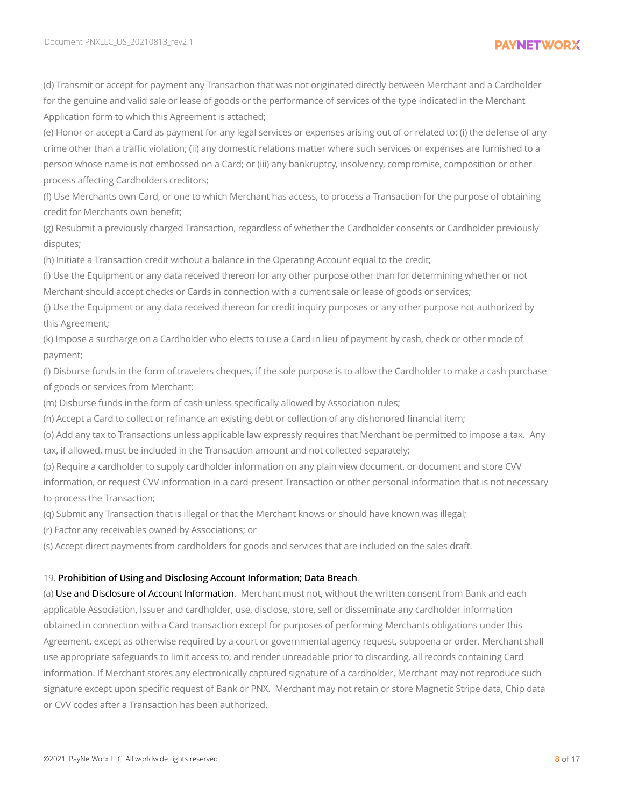(d) Transmit or accept for payment any Transaction that was not originated directly between Merchant and a Cardholder for the genuine and valid sale or lease of goods or the performance of services of the type indicated in the Merchant Application form to which this Agreement is attached;

(e) Honor or accept a Card as payment for any legal services or expenses arising out of or related to: (i) the defense of any crime other than a traffic violation; (ii) any domestic relations matter where such services or expenses are furnished to a person whose name is not embossed on a Card; or (iii) any bankruptcy, insolvency, compromise, composition or other process affecting Cardholders creditors;

(f) Use Merchants own Card, or one to which Merchant has access, to process a Transaction for the purpose of obtaining credit for Merchants own benefit;

(g) Resubmit a previously charged Transaction, regardless of whether the Cardholder consents or Cardholder previously disputes;

(h) Initiate a Transaction credit without a balance in the Operating Account equal to the credit;

(i) Use the Equipment or any data received thereon for any other purpose other than for determining whether or not Merchant should accept checks or Cards in connection with a current sale or lease of goods or services;

(j) Use the Equipment or any data received thereon for credit inquiry purposes or any other purpose not authorized by this Agreement;

(k) Impose a surcharge on a Cardholder who elects to use a Card in lieu of payment by cash, check or other mode of payment;

(l) Disburse funds in the form of travelers cheques, if the sole purpose is to allow the Cardholder to make a cash purchase of goods or services from Merchant;

(m) Disburse funds in the form of cash unless specifically allowed by Association rules;

(n) Accept a Card to collect or refinance an existing debt or collection of any dishonored financial item;

(o) Add any tax to Transactions unless applicable law expressly requires that Merchant be permitted to impose a tax. Any tax, if allowed, must be included in the Transaction amount and not collected separately;

(p) Require a cardholder to supply cardholder information on any plain view document, or document and store CVV information, or request CVV information in a card-present Transaction or other personal information that is not necessary to process the Transaction;

(q) Submit any Transaction that is illegal or that the Merchant knows or should have known was illegal;

(r) Factor any receivables owned by Associations; or

(s) Accept direct payments from cardholders for goods and services that are included on the sales draft.

#### 19. **Prohibition of Using and Disclosing Account Information; Data Breach**.

(a) Use and Disclosure of Account Information. Merchant must not, without the written consent from Bank and each applicable Association, Issuer and cardholder, use, disclose, store, sell or disseminate any cardholder information obtained in connection with a Card transaction except for purposes of performing Merchants obligations under this Agreement, except as otherwise required by a court or governmental agency request, subpoena or order. Merchant shall use appropriate safeguards to limit access to, and render unreadable prior to discarding, all records containing Card information. If Merchant stores any electronically captured signature of a cardholder, Merchant may not reproduce such signature except upon specific request of Bank or PNX. Merchant may not retain or store Magnetic Stripe data, Chip data or CVV codes after a Transaction has been authorized.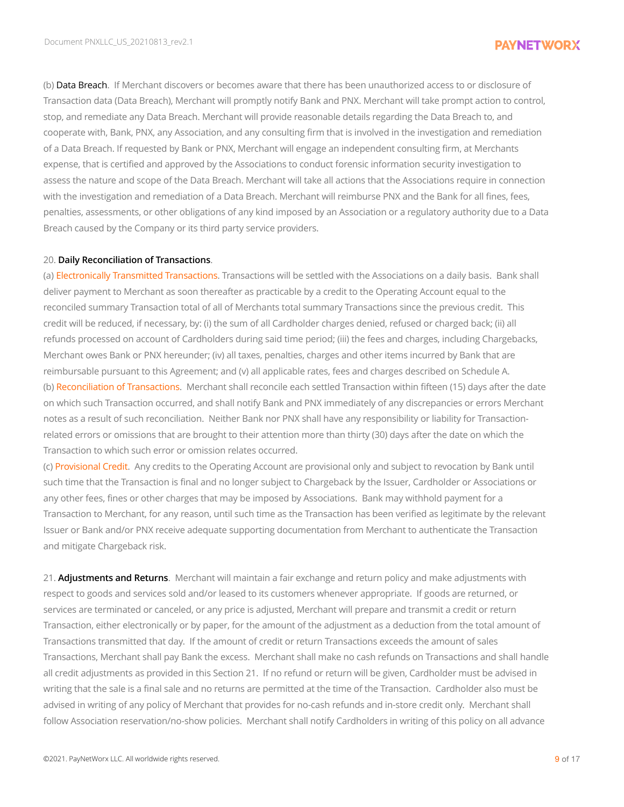(b) Data Breach. If Merchant discovers or becomes aware that there has been unauthorized access to or disclosure of Transaction data (Data Breach), Merchant will promptly notify Bank and PNX. Merchant will take prompt action to control, stop, and remediate any Data Breach. Merchant will provide reasonable details regarding the Data Breach to, and cooperate with, Bank, PNX, any Association, and any consulting firm that is involved in the investigation and remediation of a Data Breach. If requested by Bank or PNX, Merchant will engage an independent consulting firm, at Merchants expense, that is certified and approved by the Associations to conduct forensic information security investigation to assess the nature and scope of the Data Breach. Merchant will take all actions that the Associations require in connection with the investigation and remediation of a Data Breach. Merchant will reimburse PNX and the Bank for all fines, fees, penalties, assessments, or other obligations of any kind imposed by an Association or a regulatory authority due to a Data Breach caused by the Company or its third party service providers.

#### 20. **Daily Reconciliation of Transactions**.

(a) Electronically Transmitted Transactions. Transactions will be settled with the Associations on a daily basis. Bank shall deliver payment to Merchant as soon thereafter as practicable by a credit to the Operating Account equal to the reconciled summary Transaction total of all of Merchants total summary Transactions since the previous credit. This credit will be reduced, if necessary, by: (i) the sum of all Cardholder charges denied, refused or charged back; (ii) all refunds processed on account of Cardholders during said time period; (iii) the fees and charges, including Chargebacks, Merchant owes Bank or PNX hereunder; (iv) all taxes, penalties, charges and other items incurred by Bank that are reimbursable pursuant to this Agreement; and (v) all applicable rates, fees and charges described on Schedule A. (b) Reconciliation of Transactions. Merchant shall reconcile each settled Transaction within fifteen (15) days after the date on which such Transaction occurred, and shall notify Bank and PNX immediately of any discrepancies or errors Merchant notes as a result of such reconciliation. Neither Bank nor PNX shall have any responsibility or liability for Transactionrelated errors or omissions that are brought to their attention more than thirty (30) days after the date on which the Transaction to which such error or omission relates occurred.

(c) Provisional Credit. Any credits to the Operating Account are provisional only and subject to revocation by Bank until such time that the Transaction is final and no longer subject to Chargeback by the Issuer, Cardholder or Associations or any other fees, fines or other charges that may be imposed by Associations. Bank may withhold payment for a Transaction to Merchant, for any reason, until such time as the Transaction has been verified as legitimate by the relevant Issuer or Bank and/or PNX receive adequate supporting documentation from Merchant to authenticate the Transaction and mitigate Chargeback risk.

21. **Adjustments and Returns**. Merchant will maintain a fair exchange and return policy and make adjustments with respect to goods and services sold and/or leased to its customers whenever appropriate. If goods are returned, or services are terminated or canceled, or any price is adjusted, Merchant will prepare and transmit a credit or return Transaction, either electronically or by paper, for the amount of the adjustment as a deduction from the total amount of Transactions transmitted that day. If the amount of credit or return Transactions exceeds the amount of sales Transactions, Merchant shall pay Bank the excess. Merchant shall make no cash refunds on Transactions and shall handle all credit adjustments as provided in this Section 21. If no refund or return will be given, Cardholder must be advised in writing that the sale is a final sale and no returns are permitted at the time of the Transaction. Cardholder also must be advised in writing of any policy of Merchant that provides for no-cash refunds and in-store credit only. Merchant shall follow Association reservation/no-show policies. Merchant shall notify Cardholders in writing of this policy on all advance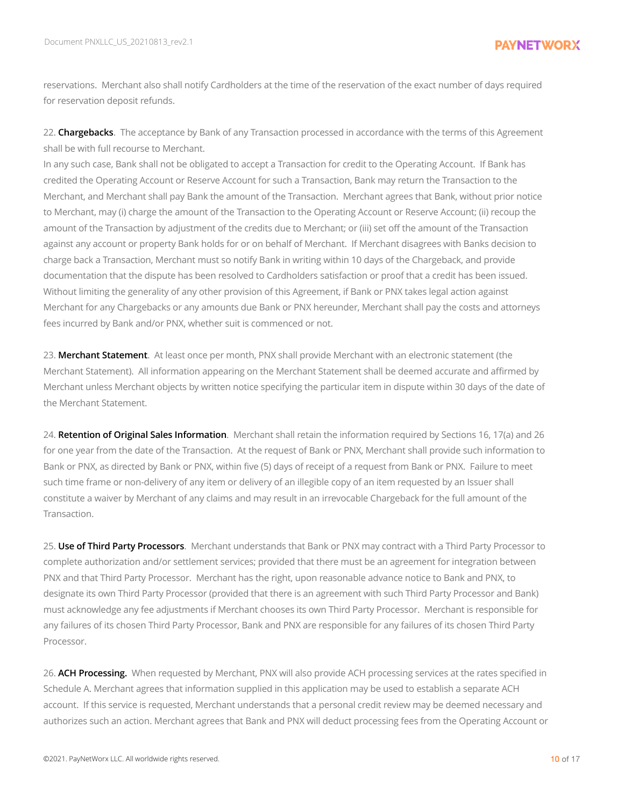reservations. Merchant also shall notify Cardholders at the time of the reservation of the exact number of days required for reservation deposit refunds.

22. **Chargebacks**. The acceptance by Bank of any Transaction processed in accordance with the terms of this Agreement shall be with full recourse to Merchant.

In any such case, Bank shall not be obligated to accept a Transaction for credit to the Operating Account. If Bank has credited the Operating Account or Reserve Account for such a Transaction, Bank may return the Transaction to the Merchant, and Merchant shall pay Bank the amount of the Transaction. Merchant agrees that Bank, without prior notice to Merchant, may (i) charge the amount of the Transaction to the Operating Account or Reserve Account; (ii) recoup the amount of the Transaction by adjustment of the credits due to Merchant; or (iii) set off the amount of the Transaction against any account or property Bank holds for or on behalf of Merchant. If Merchant disagrees with Banks decision to charge back a Transaction, Merchant must so notify Bank in writing within 10 days of the Chargeback, and provide documentation that the dispute has been resolved to Cardholders satisfaction or proof that a credit has been issued. Without limiting the generality of any other provision of this Agreement, if Bank or PNX takes legal action against Merchant for any Chargebacks or any amounts due Bank or PNX hereunder, Merchant shall pay the costs and attorneys fees incurred by Bank and/or PNX, whether suit is commenced or not.

23. **Merchant Statement**. At least once per month, PNX shall provide Merchant with an electronic statement (the Merchant Statement). All information appearing on the Merchant Statement shall be deemed accurate and affirmed by Merchant unless Merchant objects by written notice specifying the particular item in dispute within 30 days of the date of the Merchant Statement.

24. **Retention of Original Sales Information**. Merchant shall retain the information required by Sections 16, 17(a) and 26 for one year from the date of the Transaction. At the request of Bank or PNX, Merchant shall provide such information to Bank or PNX, as directed by Bank or PNX, within five (5) days of receipt of a request from Bank or PNX. Failure to meet such time frame or non-delivery of any item or delivery of an illegible copy of an item requested by an Issuer shall constitute a waiver by Merchant of any claims and may result in an irrevocable Chargeback for the full amount of the Transaction.

25. **Use of Third Party Processors**. Merchant understands that Bank or PNX may contract with a Third Party Processor to complete authorization and/or settlement services; provided that there must be an agreement for integration between PNX and that Third Party Processor. Merchant has the right, upon reasonable advance notice to Bank and PNX, to designate its own Third Party Processor (provided that there is an agreement with such Third Party Processor and Bank) must acknowledge any fee adjustments if Merchant chooses its own Third Party Processor. Merchant is responsible for any failures of its chosen Third Party Processor, Bank and PNX are responsible for any failures of its chosen Third Party Processor.

26. **ACH Processing.** When requested by Merchant, PNX will also provide ACH processing services at the rates specified in Schedule A. Merchant agrees that information supplied in this application may be used to establish a separate ACH account. If this service is requested, Merchant understands that a personal credit review may be deemed necessary and authorizes such an action. Merchant agrees that Bank and PNX will deduct processing fees from the Operating Account or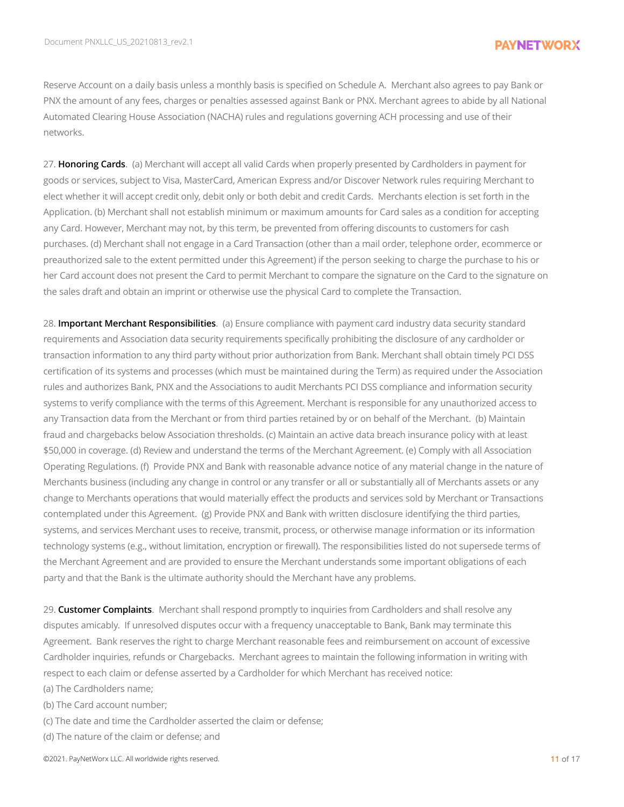Reserve Account on a daily basis unless a monthly basis is specified on Schedule A. Merchant also agrees to pay Bank or PNX the amount of any fees, charges or penalties assessed against Bank or PNX. Merchant agrees to abide by all National Automated Clearing House Association (NACHA) rules and regulations governing ACH processing and use of their networks.

27. **Honoring Cards**. (a) Merchant will accept all valid Cards when properly presented by Cardholders in payment for goods or services, subject to Visa, MasterCard, American Express and/or Discover Network rules requiring Merchant to elect whether it will accept credit only, debit only or both debit and credit Cards. Merchants election is set forth in the Application. (b) Merchant shall not establish minimum or maximum amounts for Card sales as a condition for accepting any Card. However, Merchant may not, by this term, be prevented from offering discounts to customers for cash purchases. (d) Merchant shall not engage in a Card Transaction (other than a mail order, telephone order, ecommerce or preauthorized sale to the extent permitted under this Agreement) if the person seeking to charge the purchase to his or her Card account does not present the Card to permit Merchant to compare the signature on the Card to the signature on the sales draft and obtain an imprint or otherwise use the physical Card to complete the Transaction.

28. **Important Merchant Responsibilities**. (a) Ensure compliance with payment card industry data security standard requirements and Association data security requirements specifically prohibiting the disclosure of any cardholder or transaction information to any third party without prior authorization from Bank. Merchant shall obtain timely PCI DSS certification of its systems and processes (which must be maintained during the Term) as required under the Association rules and authorizes Bank, PNX and the Associations to audit Merchants PCI DSS compliance and information security systems to verify compliance with the terms of this Agreement. Merchant is responsible for any unauthorized access to any Transaction data from the Merchant or from third parties retained by or on behalf of the Merchant. (b) Maintain fraud and chargebacks below Association thresholds. (c) Maintain an active data breach insurance policy with at least \$50,000 in coverage. (d) Review and understand the terms of the Merchant Agreement. (e) Comply with all Association Operating Regulations. (f) Provide PNX and Bank with reasonable advance notice of any material change in the nature of Merchants business (including any change in control or any transfer or all or substantially all of Merchants assets or any change to Merchants operations that would materially effect the products and services sold by Merchant or Transactions contemplated under this Agreement. (g) Provide PNX and Bank with written disclosure identifying the third parties, systems, and services Merchant uses to receive, transmit, process, or otherwise manage information or its information technology systems (e.g., without limitation, encryption or firewall). The responsibilities listed do not supersede terms of the Merchant Agreement and are provided to ensure the Merchant understands some important obligations of each party and that the Bank is the ultimate authority should the Merchant have any problems.

29. **Customer Complaints**. Merchant shall respond promptly to inquiries from Cardholders and shall resolve any disputes amicably. If unresolved disputes occur with a frequency unacceptable to Bank, Bank may terminate this Agreement. Bank reserves the right to charge Merchant reasonable fees and reimbursement on account of excessive Cardholder inquiries, refunds or Chargebacks. Merchant agrees to maintain the following information in writing with respect to each claim or defense asserted by a Cardholder for which Merchant has received notice:

(a) The Cardholders name;

(b) The Card account number;

(c) The date and time the Cardholder asserted the claim or defense;

(d) The nature of the claim or defense; and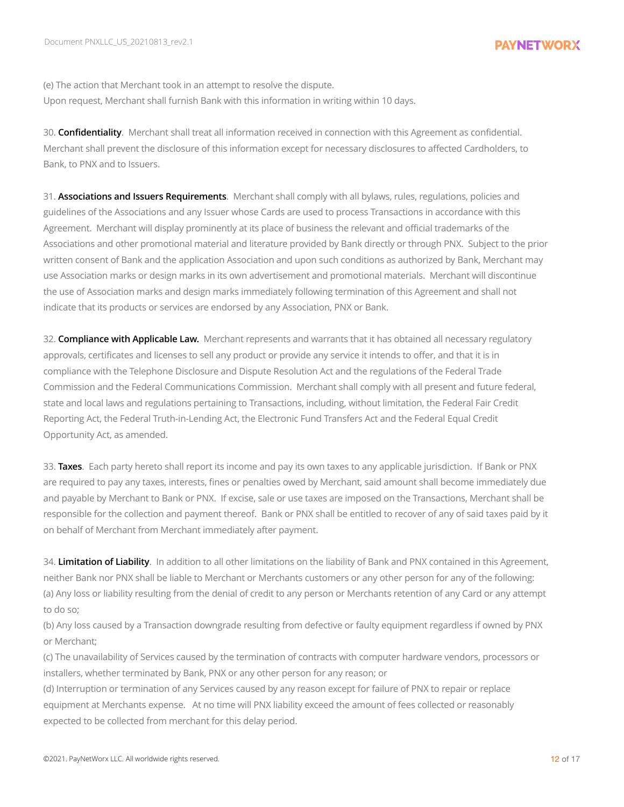(e) The action that Merchant took in an attempt to resolve the dispute. Upon request, Merchant shall furnish Bank with this information in writing within 10 days.

30. **Confidentiality**. Merchant shall treat all information received in connection with this Agreement as confidential. Merchant shall prevent the disclosure of this information except for necessary disclosures to affected Cardholders, to Bank, to PNX and to Issuers.

31. **Associations and Issuers Requirements**. Merchant shall comply with all bylaws, rules, regulations, policies and guidelines of the Associations and any Issuer whose Cards are used to process Transactions in accordance with this Agreement. Merchant will display prominently at its place of business the relevant and official trademarks of the Associations and other promotional material and literature provided by Bank directly or through PNX. Subject to the prior written consent of Bank and the application Association and upon such conditions as authorized by Bank, Merchant may use Association marks or design marks in its own advertisement and promotional materials. Merchant will discontinue the use of Association marks and design marks immediately following termination of this Agreement and shall not indicate that its products or services are endorsed by any Association, PNX or Bank.

32. **Compliance with Applicable Law.** Merchant represents and warrants that it has obtained all necessary regulatory approvals, certificates and licenses to sell any product or provide any service it intends to offer, and that it is in compliance with the Telephone Disclosure and Dispute Resolution Act and the regulations of the Federal Trade Commission and the Federal Communications Commission. Merchant shall comply with all present and future federal, state and local laws and regulations pertaining to Transactions, including, without limitation, the Federal Fair Credit Reporting Act, the Federal Truth-in-Lending Act, the Electronic Fund Transfers Act and the Federal Equal Credit Opportunity Act, as amended.

33. **Taxes**. Each party hereto shall report its income and pay its own taxes to any applicable jurisdiction. If Bank or PNX are required to pay any taxes, interests, fines or penalties owed by Merchant, said amount shall become immediately due and payable by Merchant to Bank or PNX. If excise, sale or use taxes are imposed on the Transactions, Merchant shall be responsible for the collection and payment thereof. Bank or PNX shall be entitled to recover of any of said taxes paid by it on behalf of Merchant from Merchant immediately after payment.

34. **Limitation of Liability**. In addition to all other limitations on the liability of Bank and PNX contained in this Agreement, neither Bank nor PNX shall be liable to Merchant or Merchants customers or any other person for any of the following: (a) Any loss or liability resulting from the denial of credit to any person or Merchants retention of any Card or any attempt to do so;

(b) Any loss caused by a Transaction downgrade resulting from defective or faulty equipment regardless if owned by PNX or Merchant;

(c) The unavailability of Services caused by the termination of contracts with computer hardware vendors, processors or installers, whether terminated by Bank, PNX or any other person for any reason; or

(d) Interruption or termination of any Services caused by any reason except for failure of PNX to repair or replace equipment at Merchants expense. At no time will PNX liability exceed the amount of fees collected or reasonably expected to be collected from merchant for this delay period.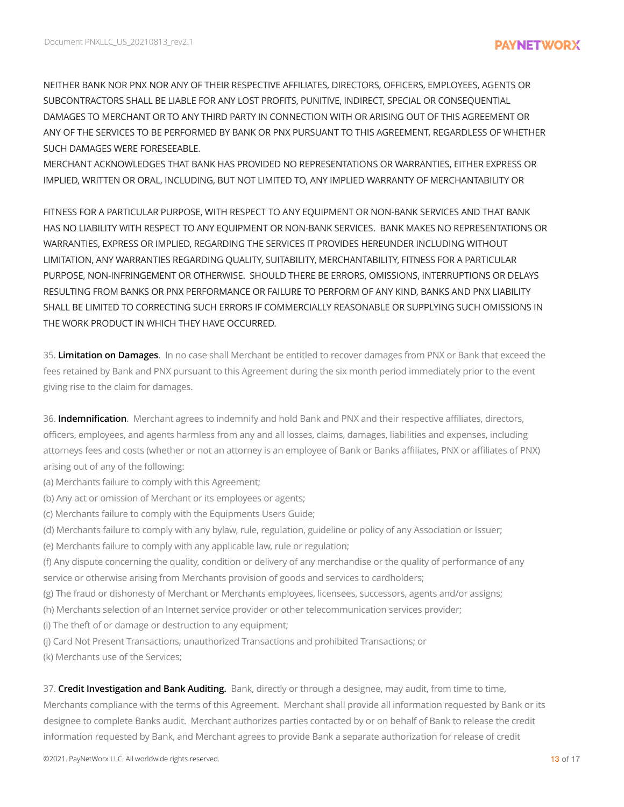NEITHER BANK NOR PNX NOR ANY OF THEIR RESPECTIVE AFFILIATES, DIRECTORS, OFFICERS, EMPLOYEES, AGENTS OR SUBCONTRACTORS SHALL BE LIABLE FOR ANY LOST PROFITS, PUNITIVE, INDIRECT, SPECIAL OR CONSEQUENTIAL DAMAGES TO MERCHANT OR TO ANY THIRD PARTY IN CONNECTION WITH OR ARISING OUT OF THIS AGREEMENT OR ANY OF THE SERVICES TO BE PERFORMED BY BANK OR PNX PURSUANT TO THIS AGREEMENT, REGARDLESS OF WHETHER SUCH DAMAGES WERE FORESEEABLE.

MERCHANT ACKNOWLEDGES THAT BANK HAS PROVIDED NO REPRESENTATIONS OR WARRANTIES, EITHER EXPRESS OR IMPLIED, WRITTEN OR ORAL, INCLUDING, BUT NOT LIMITED TO, ANY IMPLIED WARRANTY OF MERCHANTABILITY OR

FITNESS FOR A PARTICULAR PURPOSE, WITH RESPECT TO ANY EQUIPMENT OR NON-BANK SERVICES AND THAT BANK HAS NO LIABILITY WITH RESPECT TO ANY EQUIPMENT OR NON-BANK SERVICES. BANK MAKES NO REPRESENTATIONS OR WARRANTIES, EXPRESS OR IMPLIED, REGARDING THE SERVICES IT PROVIDES HEREUNDER INCLUDING WITHOUT LIMITATION, ANY WARRANTIES REGARDING QUALITY, SUITABILITY, MERCHANTABILITY, FITNESS FOR A PARTICULAR PURPOSE, NON-INFRINGEMENT OR OTHERWISE. SHOULD THERE BE ERRORS, OMISSIONS, INTERRUPTIONS OR DELAYS RESULTING FROM BANKS OR PNX PERFORMANCE OR FAILURE TO PERFORM OF ANY KIND, BANKS AND PNX LIABILITY SHALL BE LIMITED TO CORRECTING SUCH ERRORS IF COMMERCIALLY REASONABLE OR SUPPLYING SUCH OMISSIONS IN THE WORK PRODUCT IN WHICH THEY HAVE OCCURRED.

35. **Limitation on Damages**. In no case shall Merchant be entitled to recover damages from PNX or Bank that exceed the fees retained by Bank and PNX pursuant to this Agreement during the six month period immediately prior to the event giving rise to the claim for damages.

36. **Indemnification**. Merchant agrees to indemnify and hold Bank and PNX and their respective affiliates, directors, officers, employees, and agents harmless from any and all losses, claims, damages, liabilities and expenses, including attorneys fees and costs (whether or not an attorney is an employee of Bank or Banks affiliates, PNX or affiliates of PNX) arising out of any of the following:

- (a) Merchants failure to comply with this Agreement;
- (b) Any act or omission of Merchant or its employees or agents;
- (c) Merchants failure to comply with the Equipments Users Guide;
- (d) Merchants failure to comply with any bylaw, rule, regulation, guideline or policy of any Association or Issuer;
- (e) Merchants failure to comply with any applicable law, rule or regulation;
- (f) Any dispute concerning the quality, condition or delivery of any merchandise or the quality of performance of any service or otherwise arising from Merchants provision of goods and services to cardholders;
- (g) The fraud or dishonesty of Merchant or Merchants employees, licensees, successors, agents and/or assigns;
- (h) Merchants selection of an Internet service provider or other telecommunication services provider;
- (i) The theft of or damage or destruction to any equipment;
- (j) Card Not Present Transactions, unauthorized Transactions and prohibited Transactions; or
- (k) Merchants use of the Services;

37. **Credit Investigation and Bank Auditing.** Bank, directly or through a designee, may audit, from time to time, Merchants compliance with the terms of this Agreement. Merchant shall provide all information requested by Bank or its designee to complete Banks audit. Merchant authorizes parties contacted by or on behalf of Bank to release the credit information requested by Bank, and Merchant agrees to provide Bank a separate authorization for release of credit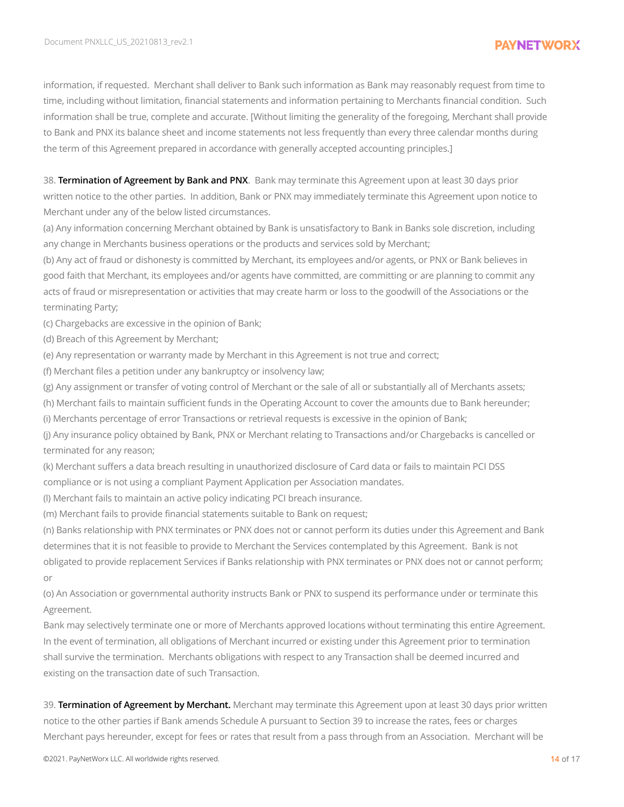information, if requested. Merchant shall deliver to Bank such information as Bank may reasonably request from time to time, including without limitation, financial statements and information pertaining to Merchants financial condition. Such information shall be true, complete and accurate. [Without limiting the generality of the foregoing, Merchant shall provide to Bank and PNX its balance sheet and income statements not less frequently than every three calendar months during the term of this Agreement prepared in accordance with generally accepted accounting principles.]

38. **Termination of Agreement by Bank and PNX**. Bank may terminate this Agreement upon at least 30 days prior written notice to the other parties. In addition, Bank or PNX may immediately terminate this Agreement upon notice to Merchant under any of the below listed circumstances.

(a) Any information concerning Merchant obtained by Bank is unsatisfactory to Bank in Banks sole discretion, including any change in Merchants business operations or the products and services sold by Merchant;

(b) Any act of fraud or dishonesty is committed by Merchant, its employees and/or agents, or PNX or Bank believes in good faith that Merchant, its employees and/or agents have committed, are committing or are planning to commit any acts of fraud or misrepresentation or activities that may create harm or loss to the goodwill of the Associations or the terminating Party;

(c) Chargebacks are excessive in the opinion of Bank;

(d) Breach of this Agreement by Merchant;

(e) Any representation or warranty made by Merchant in this Agreement is not true and correct;

(f) Merchant files a petition under any bankruptcy or insolvency law;

(g) Any assignment or transfer of voting control of Merchant or the sale of all or substantially all of Merchants assets;

(h) Merchant fails to maintain sufficient funds in the Operating Account to cover the amounts due to Bank hereunder;

(i) Merchants percentage of error Transactions or retrieval requests is excessive in the opinion of Bank;

(j) Any insurance policy obtained by Bank, PNX or Merchant relating to Transactions and/or Chargebacks is cancelled or terminated for any reason;

(k) Merchant suffers a data breach resulting in unauthorized disclosure of Card data or fails to maintain PCI DSS compliance or is not using a compliant Payment Application per Association mandates.

(l) Merchant fails to maintain an active policy indicating PCI breach insurance.

(m) Merchant fails to provide financial statements suitable to Bank on request;

(n) Banks relationship with PNX terminates or PNX does not or cannot perform its duties under this Agreement and Bank determines that it is not feasible to provide to Merchant the Services contemplated by this Agreement. Bank is not obligated to provide replacement Services if Banks relationship with PNX terminates or PNX does not or cannot perform; or

(o) An Association or governmental authority instructs Bank or PNX to suspend its performance under or terminate this Agreement.

Bank may selectively terminate one or more of Merchants approved locations without terminating this entire Agreement. In the event of termination, all obligations of Merchant incurred or existing under this Agreement prior to termination shall survive the termination. Merchants obligations with respect to any Transaction shall be deemed incurred and existing on the transaction date of such Transaction.

39. **Termination of Agreement by Merchant.** Merchant may terminate this Agreement upon at least 30 days prior written notice to the other parties if Bank amends Schedule A pursuant to Section 39 to increase the rates, fees or charges Merchant pays hereunder, except for fees or rates that result from a pass through from an Association. Merchant will be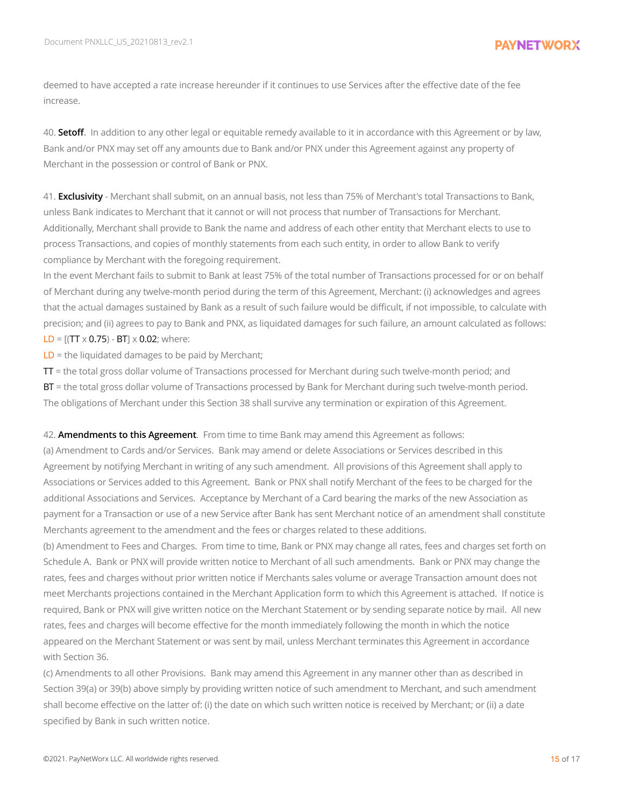deemed to have accepted a rate increase hereunder if it continues to use Services after the effective date of the fee increase.

40. **Setoff.** In addition to any other legal or equitable remedy available to it in accordance with this Agreement or by law, Bank and/or PNX may set off any amounts due to Bank and/or PNX under this Agreement against any property of Merchant in the possession or control of Bank or PNX.

41. **Exclusivity** - Merchant shall submit, on an annual basis, not less than 75% of Merchant's total Transactions to Bank, unless Bank indicates to Merchant that it cannot or will not process that number of Transactions for Merchant. Additionally, Merchant shall provide to Bank the name and address of each other entity that Merchant elects to use to process Transactions, and copies of monthly statements from each such entity, in order to allow Bank to verify compliance by Merchant with the foregoing requirement.

In the event Merchant fails to submit to Bank at least 75% of the total number of Transactions processed for or on behalf of Merchant during any twelve-month period during the term of this Agreement, Merchant: (i) acknowledges and agrees that the actual damages sustained by Bank as a result of such failure would be difficult, if not impossible, to calculate with precision; and (ii) agrees to pay to Bank and PNX, as liquidated damages for such failure, an amount calculated as follows:  $LD = [(TT \times 0.75) - BT] \times 0.02$ ; where:

LD = the liquidated damages to be paid by Merchant;

TT = the total gross dollar volume of Transactions processed for Merchant during such twelve-month period; and

BT = the total gross dollar volume of Transactions processed by Bank for Merchant during such twelve-month period. The obligations of Merchant under this Section 38 shall survive any termination or expiration of this Agreement.

42. **Amendments to this Agreement**. From time to time Bank may amend this Agreement as follows:

(a) Amendment to Cards and/or Services. Bank may amend or delete Associations or Services described in this Agreement by notifying Merchant in writing of any such amendment. All provisions of this Agreement shall apply to Associations or Services added to this Agreement. Bank or PNX shall notify Merchant of the fees to be charged for the additional Associations and Services. Acceptance by Merchant of a Card bearing the marks of the new Association as payment for a Transaction or use of a new Service after Bank has sent Merchant notice of an amendment shall constitute Merchants agreement to the amendment and the fees or charges related to these additions.

(b) Amendment to Fees and Charges. From time to time, Bank or PNX may change all rates, fees and charges set forth on Schedule A. Bank or PNX will provide written notice to Merchant of all such amendments. Bank or PNX may change the rates, fees and charges without prior written notice if Merchants sales volume or average Transaction amount does not meet Merchants projections contained in the Merchant Application form to which this Agreement is attached. If notice is required, Bank or PNX will give written notice on the Merchant Statement or by sending separate notice by mail. All new rates, fees and charges will become effective for the month immediately following the month in which the notice appeared on the Merchant Statement or was sent by mail, unless Merchant terminates this Agreement in accordance with Section 36.

(c) Amendments to all other Provisions. Bank may amend this Agreement in any manner other than as described in Section 39(a) or 39(b) above simply by providing written notice of such amendment to Merchant, and such amendment shall become effective on the latter of: (i) the date on which such written notice is received by Merchant; or (ii) a date specified by Bank in such written notice.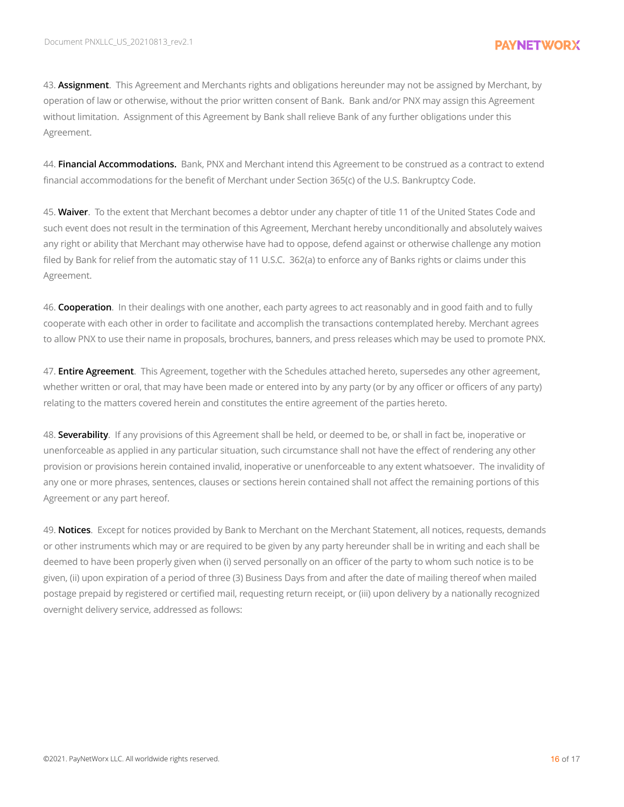43. **Assignment**. This Agreement and Merchants rights and obligations hereunder may not be assigned by Merchant, by operation of law or otherwise, without the prior written consent of Bank. Bank and/or PNX may assign this Agreement without limitation. Assignment of this Agreement by Bank shall relieve Bank of any further obligations under this Agreement.

44. **Financial Accommodations.** Bank, PNX and Merchant intend this Agreement to be construed as a contract to extend financial accommodations for the benefit of Merchant under Section 365(c) of the U.S. Bankruptcy Code.

45. **Waiver**. To the extent that Merchant becomes a debtor under any chapter of title 11 of the United States Code and such event does not result in the termination of this Agreement, Merchant hereby unconditionally and absolutely waives any right or ability that Merchant may otherwise have had to oppose, defend against or otherwise challenge any motion filed by Bank for relief from the automatic stay of 11 U.S.C. 362(a) to enforce any of Banks rights or claims under this Agreement.

46. **Cooperation**. In their dealings with one another, each party agrees to act reasonably and in good faith and to fully cooperate with each other in order to facilitate and accomplish the transactions contemplated hereby. Merchant agrees to allow PNX to use their name in proposals, brochures, banners, and press releases which may be used to promote PNX.

47. **Entire Agreement**. This Agreement, together with the Schedules attached hereto, supersedes any other agreement, whether written or oral, that may have been made or entered into by any party (or by any officer or officers of any party) relating to the matters covered herein and constitutes the entire agreement of the parties hereto.

48. **Severability**. If any provisions of this Agreement shall be held, or deemed to be, or shall in fact be, inoperative or unenforceable as applied in any particular situation, such circumstance shall not have the effect of rendering any other provision or provisions herein contained invalid, inoperative or unenforceable to any extent whatsoever. The invalidity of any one or more phrases, sentences, clauses or sections herein contained shall not affect the remaining portions of this Agreement or any part hereof.

49. **Notices**. Except for notices provided by Bank to Merchant on the Merchant Statement, all notices, requests, demands or other instruments which may or are required to be given by any party hereunder shall be in writing and each shall be deemed to have been properly given when (i) served personally on an officer of the party to whom such notice is to be given, (ii) upon expiration of a period of three (3) Business Days from and after the date of mailing thereof when mailed postage prepaid by registered or certified mail, requesting return receipt, or (iii) upon delivery by a nationally recognized overnight delivery service, addressed as follows: